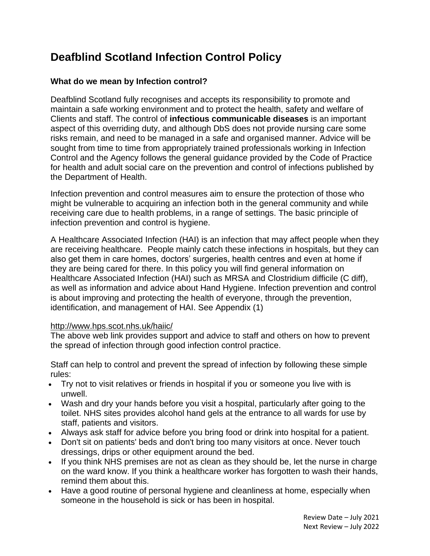# **Deafblind Scotland Infection Control Policy**

## **What do we mean by Infection control?**

Deafblind Scotland fully recognises and accepts its responsibility to promote and maintain a safe working environment and to protect the health, safety and welfare of Clients and staff. The control of **infectious communicable diseases** is an important aspect of this overriding duty, and although DbS does not provide nursing care some risks remain, and need to be managed in a safe and organised manner. Advice will be sought from time to time from appropriately trained professionals working in Infection Control and the Agency follows the general guidance provided by the Code of Practice for health and adult social care on the prevention and control of infections published by the Department of Health.

Infection prevention and control measures aim to ensure the protection of those who might be vulnerable to acquiring an infection both in the general community and while receiving care due to health problems, in a range of settings. The basic principle of infection prevention and control is hygiene.

A Healthcare Associated Infection (HAI) is an infection that may affect people when they are receiving healthcare. People mainly catch these infections in hospitals, but they can also get them in care homes, doctors' surgeries, health centres and even at home if they are being cared for there. In this policy you will find general information on Healthcare Associated Infection (HAI) such as MRSA and Clostridium difficile (C diff), as well as information and advice about Hand Hygiene. Infection prevention and control is about improving and protecting the health of everyone, through the prevention, identification, and management of HAI. See Appendix (1)

#### <http://www.hps.scot.nhs.uk/haiic/>

The above web link provides support and advice to staff and others on how to prevent the spread of infection through good infection control practice.

Staff can help to control and prevent the spread of infection by following these simple rules:

- Try not to visit relatives or friends in hospital if you or someone you live with is unwell.
- Wash and dry your hands before you visit a hospital, particularly after going to the toilet. NHS sites provides alcohol hand gels at the entrance to all wards for use by staff, patients and visitors.
- Always ask staff for advice before you bring food or drink into hospital for a patient.
- Don't sit on patients' beds and don't bring too many visitors at once. Never touch dressings, drips or other equipment around the bed.
- If you think NHS premises are not as clean as they should be, let the nurse in charge on the ward know. If you think a healthcare worker has forgotten to wash their hands, remind them about this.
- Have a good routine of personal hygiene and cleanliness at home, especially when someone in the household is sick or has been in hospital.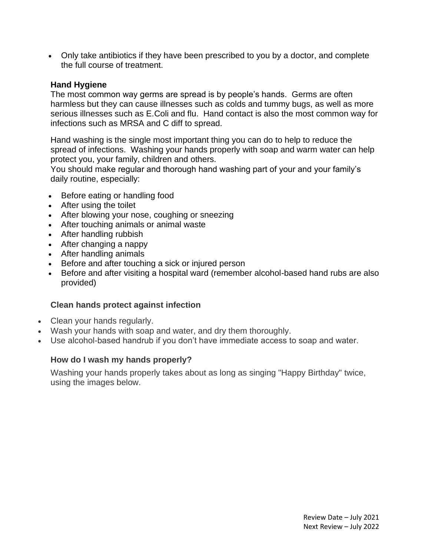• Only take antibiotics if they have been prescribed to you by a doctor, and complete the full course of treatment.

#### **Hand Hygiene**

The most common way germs are spread is by people's hands. Germs are often harmless but they can cause illnesses such as colds and tummy bugs, as well as more serious illnesses such as E.Coli and flu. Hand contact is also the most common way for infections such as MRSA and C diff to spread.

Hand washing is the single most important thing you can do to help to reduce the spread of infections. Washing your hands properly with soap and warm water can help protect you, your family, children and others.

You should make regular and thorough hand washing part of your and your family's daily routine, especially:

- Before eating or handling food
- After using the toilet
- After blowing your nose, coughing or sneezing
- After touching animals or animal waste
- After handling rubbish
- After changing a nappy
- After handling animals
- Before and after touching a sick or injured person
- Before and after visiting a hospital ward (remember alcohol-based hand rubs are also provided)

#### **Clean hands protect against infection**

- Clean your hands regularly.
- Wash your hands with soap and water, and dry them thoroughly.
- Use alcohol-based handrub if you don't have immediate access to soap and water.

#### **How do I wash my hands properly?**

Washing your hands properly takes about as long as singing "Happy Birthday" twice, using the images below.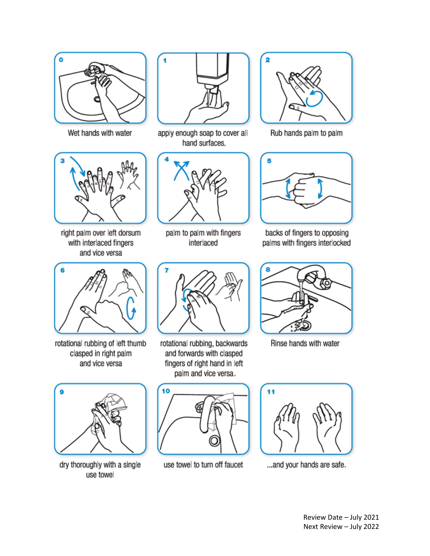

Wet hands with water



right palm over left dorsum with interlaced fingers and vice versa



rotational rubbing of left thumb clasped in right palm and vice versa



dry thoroughly with a single use towel



apply enough soap to cover all hand surfaces.



palm to palm with fingers interlaced



rotational rubbing, backwards and forwards with clasped fingers of right hand in left palm and vice versa.



use towel to turn off faucet



Rub hands palm to palm



backs of fingers to opposing palms with fingers interlocked



Rinse hands with water



... and your hands are safe.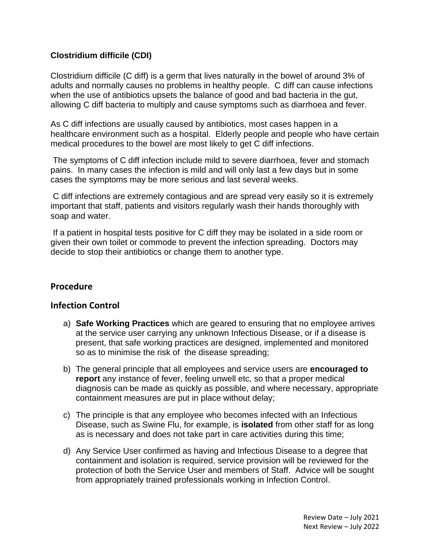## **Clostridium difficile (CDI)**

Clostridium difficile (C diff) is a germ that lives naturally in the bowel of around 3% of adults and normally causes no problems in healthy people. C diff can cause infections when the use of antibiotics upsets the balance of good and bad bacteria in the gut, allowing C diff bacteria to multiply and cause symptoms such as diarrhoea and fever.

As C diff infections are usually caused by antibiotics, most cases happen in a healthcare environment such as a hospital. Elderly people and people who have certain medical procedures to the bowel are most likely to get C diff infections.

The symptoms of C diff infection include mild to severe diarrhoea, fever and stomach pains. In many cases the infection is mild and will only last a few days but in some cases the symptoms may be more serious and last several weeks.

C diff infections are extremely contagious and are spread very easily so it is extremely important that staff, patients and visitors regularly wash their hands thoroughly with soap and water.

If a patient in hospital tests positive for C diff they may be isolated in a side room or given their own toilet or commode to prevent the infection spreading. Doctors may decide to stop their antibiotics or change them to another type.

## **Procedure**

#### **Infection Control**

- a) **Safe Working Practices** which are geared to ensuring that no employee arrives at the service user carrying any unknown Infectious Disease, or if a disease is present, that safe working practices are designed, implemented and monitored so as to minimise the risk of the disease spreading;
- b) The general principle that all employees and service users are **encouraged to report** any instance of fever, feeling unwell etc, so that a proper medical diagnosis can be made as quickly as possible, and where necessary, appropriate containment measures are put in place without delay;
- c) The principle is that any employee who becomes infected with an Infectious Disease, such as Swine Flu, for example, is **isolated** from other staff for as long as is necessary and does not take part in care activities during this time;
- d) Any Service User confirmed as having and Infectious Disease to a degree that containment and isolation is required, service provision will be reviewed for the protection of both the Service User and members of Staff. Advice will be sought from appropriately trained professionals working in Infection Control.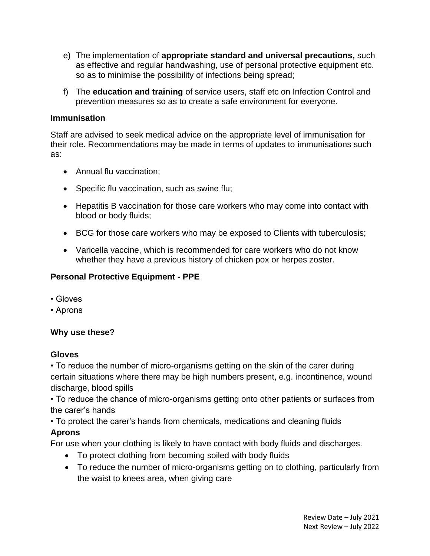- e) The implementation of **appropriate standard and universal precautions,** such as effective and regular handwashing, use of personal protective equipment etc. so as to minimise the possibility of infections being spread;
- f) The **education and training** of service users, staff etc on Infection Control and prevention measures so as to create a safe environment for everyone.

#### **Immunisation**

Staff are advised to seek medical advice on the appropriate level of immunisation for their role. Recommendations may be made in terms of updates to immunisations such as:

- Annual flu vaccination;
- Specific flu vaccination, such as swine flu;
- Hepatitis B vaccination for those care workers who may come into contact with blood or body fluids;
- BCG for those care workers who may be exposed to Clients with tuberculosis;
- Varicella vaccine, which is recommended for care workers who do not know whether they have a previous history of chicken pox or herpes zoster.

#### **Personal Protective Equipment - PPE**

- Gloves
- Aprons

#### **Why use these?**

#### **Gloves**

• To reduce the number of micro-organisms getting on the skin of the carer during certain situations where there may be high numbers present, e.g. incontinence, wound discharge, blood spills

• To reduce the chance of micro-organisms getting onto other patients or surfaces from the carer's hands

• To protect the carer's hands from chemicals, medications and cleaning fluids

#### **Aprons**

For use when your clothing is likely to have contact with body fluids and discharges.

- To protect clothing from becoming soiled with body fluids
- To reduce the number of micro-organisms getting on to clothing, particularly from the waist to knees area, when giving care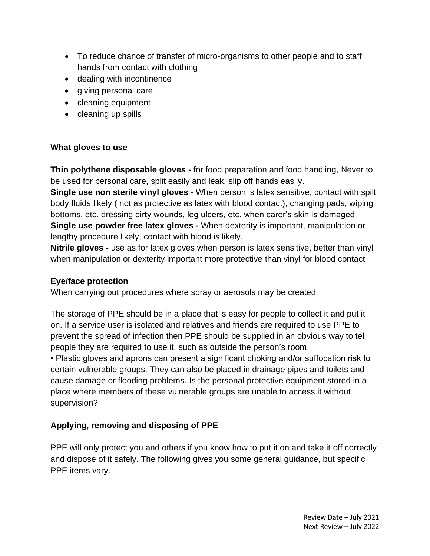- To reduce chance of transfer of micro-organisms to other people and to staff hands from contact with clothing
- dealing with incontinence
- giving personal care
- cleaning equipment
- cleaning up spills

## **What gloves to use**

**Thin polythene disposable gloves -** for food preparation and food handling, Never to be used for personal care, split easily and leak, slip off hands easily.

**Single use non sterile vinyl gloves** - When person is latex sensitive, contact with spilt body fluids likely ( not as protective as latex with blood contact), changing pads, wiping bottoms, etc. dressing dirty wounds, leg ulcers, etc. when carer's skin is damaged **Single use powder free latex gloves -** When dexterity is important, manipulation or lengthy procedure likely, contact with blood is likely.

**Nitrile gloves -** use as for latex gloves when person is latex sensitive, better than vinyl when manipulation or dexterity important more protective than vinyl for blood contact

## **Eye/face protection**

When carrying out procedures where spray or aerosols may be created

The storage of PPE should be in a place that is easy for people to collect it and put it on. If a service user is isolated and relatives and friends are required to use PPE to prevent the spread of infection then PPE should be supplied in an obvious way to tell people they are required to use it, such as outside the person's room.

• Plastic gloves and aprons can present a significant choking and/or suffocation risk to certain vulnerable groups. They can also be placed in drainage pipes and toilets and cause damage or flooding problems. Is the personal protective equipment stored in a place where members of these vulnerable groups are unable to access it without supervision?

# **Applying, removing and disposing of PPE**

PPE will only protect you and others if you know how to put it on and take it off correctly and dispose of it safely. The following gives you some general guidance, but specific PPE items vary.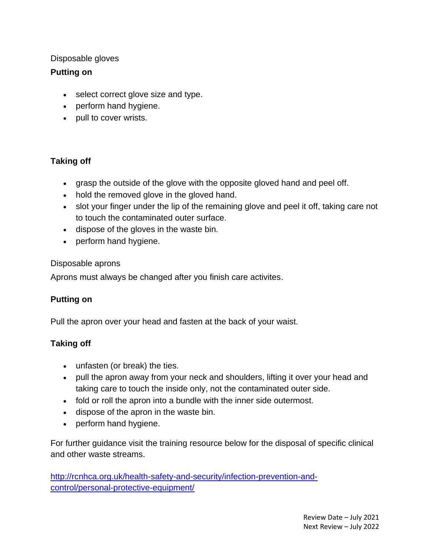#### Disposable gloves

## **Putting on**

- select correct glove size and type.
- perform hand hygiene.
- pull to cover wrists.

## **Taking off**

- grasp the outside of the glove with the opposite gloved hand and peel off.
- hold the removed glove in the gloved hand.
- slot your finger under the lip of the remaining glove and peel it off, taking care not to touch the contaminated outer surface.
- dispose of the gloves in the waste bin.
- perform hand hygiene.

#### Disposable aprons

Aprons must always be changed after you finish care activites.

## **Putting on**

Pull the apron over your head and fasten at the back of your waist.

## **Taking off**

- unfasten (or break) the ties.
- pull the apron away from your neck and shoulders, lifting it over your head and taking care to touch the inside only, not the contaminated outer side.
- fold or roll the apron into a bundle with the inner side outermost.
- dispose of the apron in the waste bin.
- perform hand hygiene.

For further guidance visit the training resource below for the disposal of specific clinical and other waste streams.

[http://rcnhca.org.uk/health-safety-and-security/infection-prevention-and](http://rcnhca.org.uk/health-safety-and-security/infection-prevention-and-control/personal-protective-equipment/)[control/personal-protective-equipment/](http://rcnhca.org.uk/health-safety-and-security/infection-prevention-and-control/personal-protective-equipment/)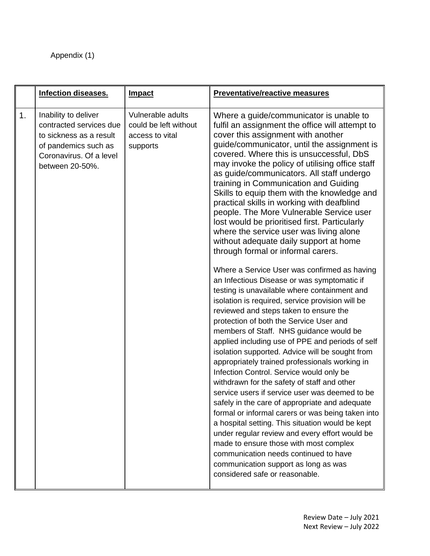# Appendix (1)

|    | <b>Infection diseases.</b>                                                                                                                       | <b>Impact</b>                                                             | <b>Preventative/reactive measures</b>                                                                                                                                                                                                                                                                                                                                                                                                                                                                                                                                                                                                                                                                                                                                                                                                                                                                                                                                                                                                                                                                                                                                                                                                                                                                                                                                                                                                                                                                                                                                                                                                                                                                        |
|----|--------------------------------------------------------------------------------------------------------------------------------------------------|---------------------------------------------------------------------------|--------------------------------------------------------------------------------------------------------------------------------------------------------------------------------------------------------------------------------------------------------------------------------------------------------------------------------------------------------------------------------------------------------------------------------------------------------------------------------------------------------------------------------------------------------------------------------------------------------------------------------------------------------------------------------------------------------------------------------------------------------------------------------------------------------------------------------------------------------------------------------------------------------------------------------------------------------------------------------------------------------------------------------------------------------------------------------------------------------------------------------------------------------------------------------------------------------------------------------------------------------------------------------------------------------------------------------------------------------------------------------------------------------------------------------------------------------------------------------------------------------------------------------------------------------------------------------------------------------------------------------------------------------------------------------------------------------------|
| 1. | Inability to deliver<br>contracted services due<br>to sickness as a result<br>of pandemics such as<br>Coronavirus. Of a level<br>between 20-50%. | Vulnerable adults<br>could be left without<br>access to vital<br>supports | Where a guide/communicator is unable to<br>fulfil an assignment the office will attempt to<br>cover this assignment with another<br>guide/communicator, until the assignment is<br>covered. Where this is unsuccessful, DbS<br>may invoke the policy of utilising office staff<br>as guide/communicators. All staff undergo<br>training in Communication and Guiding<br>Skills to equip them with the knowledge and<br>practical skills in working with deafblind<br>people. The More Vulnerable Service user<br>lost would be prioritised first. Particularly<br>where the service user was living alone<br>without adequate daily support at home<br>through formal or informal carers.<br>Where a Service User was confirmed as having<br>an Infectious Disease or was symptomatic if<br>testing is unavailable where containment and<br>isolation is required, service provision will be<br>reviewed and steps taken to ensure the<br>protection of both the Service User and<br>members of Staff. NHS guidance would be<br>applied including use of PPE and periods of self<br>isolation supported. Advice will be sought from<br>appropriately trained professionals working in<br>Infection Control. Service would only be<br>withdrawn for the safety of staff and other<br>service users if service user was deemed to be<br>safely in the care of appropriate and adequate<br>formal or informal carers or was being taken into<br>a hospital setting. This situation would be kept<br>under regular review and every effort would be<br>made to ensure those with most complex<br>communication needs continued to have<br>communication support as long as was<br>considered safe or reasonable. |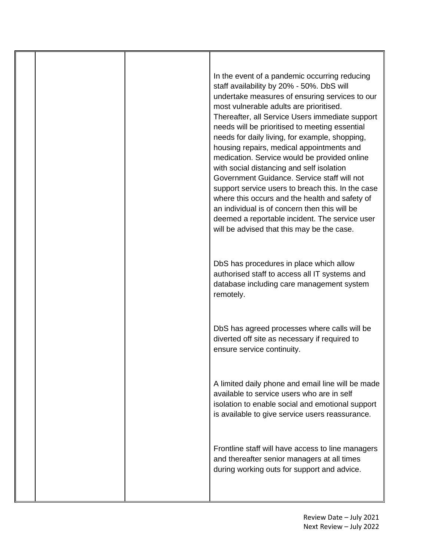In the event of a pandemic occurring reducing staff availability by 20% - 50%. DbS will undertake measures of ensuring services to our most vulnerable adults are prioritised. Thereafter, all Service Users immediate support needs will be prioritised to meeting essential needs for daily living, for example, shopping, housing repairs, medical appointments and medication. Service would be provided online with social distancing and self isolation Government Guidance. Service staff will not support service users to breach this. In the case where this occurs and the health and safety of an individual is of concern then this will be deemed a reportable incident. The service user will be advised that this may be the case.

DbS has procedures in place which allow authorised staff to access all IT systems and database including care management system remotely.

DbS has agreed processes where calls will be diverted off site as necessary if required to ensure service continuity.

A limited daily phone and email line will be made available to service users who are in self isolation to enable social and emotional support is available to give service users reassurance.

Frontline staff will have access to line managers and thereafter senior managers at all times during working outs for support and advice.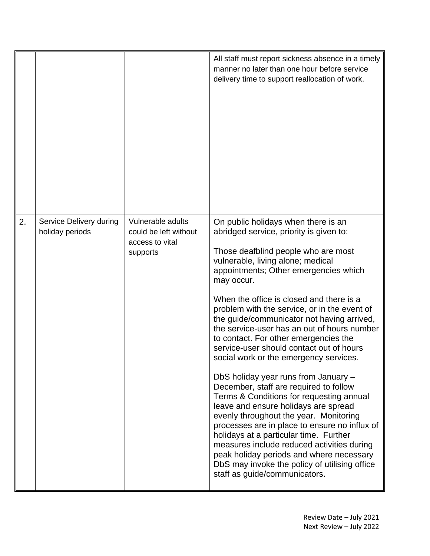|    |                                            |                                                                           | All staff must report sickness absence in a timely<br>manner no later than one hour before service<br>delivery time to support reallocation of work.                                                                                                                                                                                                                                                                                                                                                                                                                                                                                                                                                                                                                                                                                                                                                                                                                                                                             |
|----|--------------------------------------------|---------------------------------------------------------------------------|----------------------------------------------------------------------------------------------------------------------------------------------------------------------------------------------------------------------------------------------------------------------------------------------------------------------------------------------------------------------------------------------------------------------------------------------------------------------------------------------------------------------------------------------------------------------------------------------------------------------------------------------------------------------------------------------------------------------------------------------------------------------------------------------------------------------------------------------------------------------------------------------------------------------------------------------------------------------------------------------------------------------------------|
| 2. | Service Delivery during<br>holiday periods | Vulnerable adults<br>could be left without<br>access to vital<br>supports | On public holidays when there is an<br>abridged service, priority is given to:<br>Those deafblind people who are most<br>vulnerable, living alone; medical<br>appointments; Other emergencies which<br>may occur.<br>When the office is closed and there is a<br>problem with the service, or in the event of<br>the guide/communicator not having arrived,<br>the service-user has an out of hours number<br>to contact. For other emergencies the<br>service-user should contact out of hours<br>social work or the emergency services.<br>DbS holiday year runs from January -<br>December, staff are required to follow<br>Terms & Conditions for requesting annual<br>leave and ensure holidays are spread<br>evenly throughout the year. Monitoring<br>processes are in place to ensure no influx of<br>holidays at a particular time. Further<br>measures include reduced activities during<br>peak holiday periods and where necessary<br>DbS may invoke the policy of utilising office<br>staff as guide/communicators. |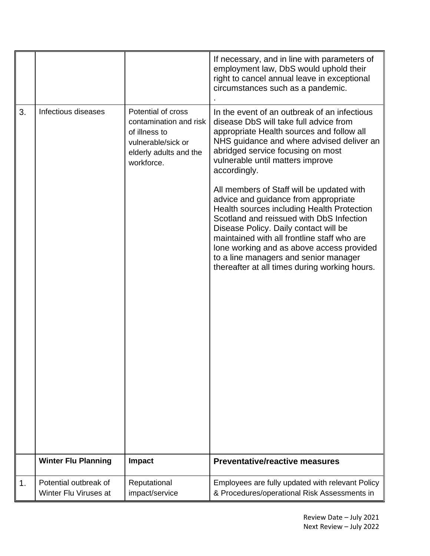|    |                                                |                                                                                                                             | If necessary, and in line with parameters of<br>employment law, DbS would uphold their<br>right to cancel annual leave in exceptional<br>circumstances such as a pandemic.                                                                                                                                                                                                                                 |
|----|------------------------------------------------|-----------------------------------------------------------------------------------------------------------------------------|------------------------------------------------------------------------------------------------------------------------------------------------------------------------------------------------------------------------------------------------------------------------------------------------------------------------------------------------------------------------------------------------------------|
| 3. | Infectious diseases                            | Potential of cross<br>contamination and risk<br>of illness to<br>vulnerable/sick or<br>elderly adults and the<br>workforce. | In the event of an outbreak of an infectious<br>disease DbS will take full advice from<br>appropriate Health sources and follow all<br>NHS guidance and where advised deliver an<br>abridged service focusing on most<br>vulnerable until matters improve<br>accordingly.                                                                                                                                  |
|    |                                                |                                                                                                                             | All members of Staff will be updated with<br>advice and guidance from appropriate<br>Health sources including Health Protection<br>Scotland and reissued with DbS Infection<br>Disease Policy. Daily contact will be<br>maintained with all frontline staff who are<br>lone working and as above access provided<br>to a line managers and senior manager<br>thereafter at all times during working hours. |
|    | <b>Winter Flu Planning</b>                     | <b>Impact</b>                                                                                                               | <b>Preventative/reactive measures</b>                                                                                                                                                                                                                                                                                                                                                                      |
| 1. | Potential outbreak of<br>Winter Flu Viruses at | Reputational<br>impact/service                                                                                              | Employees are fully updated with relevant Policy<br>& Procedures/operational Risk Assessments in                                                                                                                                                                                                                                                                                                           |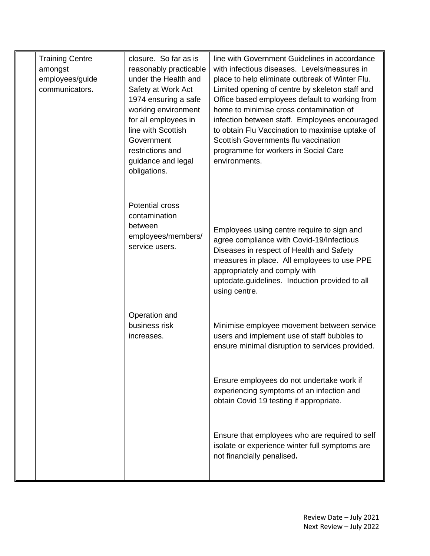| <b>Training Centre</b><br>amongst<br>employees/guide<br>communicators. | closure. So far as is<br>reasonably practicable<br>under the Health and<br>Safety at Work Act<br>1974 ensuring a safe<br>working environment<br>for all employees in<br>line with Scottish<br>Government<br>restrictions and<br>guidance and legal<br>obligations. | line with Government Guidelines in accordance<br>with infectious diseases. Levels/measures in<br>place to help eliminate outbreak of Winter Flu.<br>Limited opening of centre by skeleton staff and<br>Office based employees default to working from<br>home to minimise cross contamination of<br>infection between staff. Employees encouraged<br>to obtain Flu Vaccination to maximise uptake of<br>Scottish Governments flu vaccination<br>programme for workers in Social Care<br>environments. |
|------------------------------------------------------------------------|--------------------------------------------------------------------------------------------------------------------------------------------------------------------------------------------------------------------------------------------------------------------|-------------------------------------------------------------------------------------------------------------------------------------------------------------------------------------------------------------------------------------------------------------------------------------------------------------------------------------------------------------------------------------------------------------------------------------------------------------------------------------------------------|
|                                                                        | <b>Potential cross</b><br>contamination<br>between<br>employees/members/<br>service users.                                                                                                                                                                         | Employees using centre require to sign and<br>agree compliance with Covid-19/Infectious<br>Diseases in respect of Health and Safety<br>measures in place. All employees to use PPE<br>appropriately and comply with<br>uptodate.guidelines. Induction provided to all<br>using centre.                                                                                                                                                                                                                |
|                                                                        | Operation and<br>business risk<br>increases.                                                                                                                                                                                                                       | Minimise employee movement between service<br>users and implement use of staff bubbles to<br>ensure minimal disruption to services provided.                                                                                                                                                                                                                                                                                                                                                          |
|                                                                        |                                                                                                                                                                                                                                                                    | Ensure employees do not undertake work if<br>experiencing symptoms of an infection and<br>obtain Covid 19 testing if appropriate.                                                                                                                                                                                                                                                                                                                                                                     |
|                                                                        |                                                                                                                                                                                                                                                                    | Ensure that employees who are required to self<br>isolate or experience winter full symptoms are<br>not financially penalised.                                                                                                                                                                                                                                                                                                                                                                        |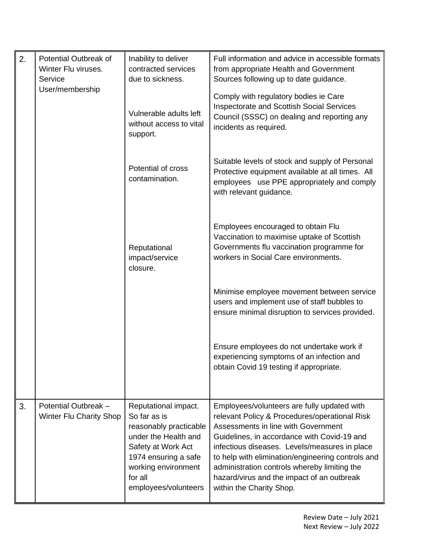| 2. | Potential Outbreak of<br>Winter Flu viruses.<br>Service | Inability to deliver<br>contracted services<br>due to sickness.                                                                                                                                | Full information and advice in accessible formats<br>from appropriate Health and Government<br>Sources following up to date guidance.                                                                                                                                                                                                                                                                              |
|----|---------------------------------------------------------|------------------------------------------------------------------------------------------------------------------------------------------------------------------------------------------------|--------------------------------------------------------------------------------------------------------------------------------------------------------------------------------------------------------------------------------------------------------------------------------------------------------------------------------------------------------------------------------------------------------------------|
|    | User/membership                                         | Vulnerable adults left<br>without access to vital<br>support.                                                                                                                                  | Comply with regulatory bodies ie Care<br>Inspectorate and Scottish Social Services<br>Council (SSSC) on dealing and reporting any<br>incidents as required.                                                                                                                                                                                                                                                        |
|    |                                                         | Potential of cross<br>contamination.                                                                                                                                                           | Suitable levels of stock and supply of Personal<br>Protective equipment available at all times. All<br>employees use PPE appropriately and comply<br>with relevant guidance.                                                                                                                                                                                                                                       |
|    |                                                         | Reputational<br>impact/service<br>closure.                                                                                                                                                     | Employees encouraged to obtain Flu<br>Vaccination to maximise uptake of Scottish<br>Governments flu vaccination programme for<br>workers in Social Care environments.                                                                                                                                                                                                                                              |
|    |                                                         |                                                                                                                                                                                                | Minimise employee movement between service<br>users and implement use of staff bubbles to<br>ensure minimal disruption to services provided.                                                                                                                                                                                                                                                                       |
|    |                                                         |                                                                                                                                                                                                | Ensure employees do not undertake work if<br>experiencing symptoms of an infection and<br>obtain Covid 19 testing if appropriate.                                                                                                                                                                                                                                                                                  |
| 3. | Potential Outbreak -<br><b>Winter Flu Charity Shop</b>  | Reputational impact.<br>So far as is<br>reasonably practicable<br>under the Health and<br>Safety at Work Act<br>1974 ensuring a safe<br>working environment<br>for all<br>employees/volunteers | Employees/volunteers are fully updated with<br>relevant Policy & Procedures/operational Risk<br>Assessments in line with Government<br>Guidelines, in accordance with Covid-19 and<br>infectious diseases. Levels/measures in place<br>to help with elimination/engineering controls and<br>administration controls whereby limiting the<br>hazard/virus and the impact of an outbreak<br>within the Charity Shop. |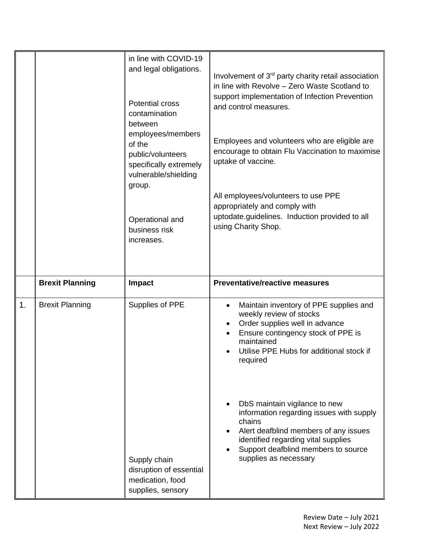|    |                                                  | in line with COVID-19<br>and legal obligations.<br><b>Potential cross</b><br>contamination<br>between<br>employees/members<br>of the<br>public/volunteers<br>specifically extremely<br>vulnerable/shielding<br>group.<br>Operational and<br>business risk<br>increases. | Involvement of 3 <sup>rd</sup> party charity retail association<br>in line with Revolve - Zero Waste Scotland to<br>support implementation of Infection Prevention<br>and control measures.<br>Employees and volunteers who are eligible are<br>encourage to obtain Flu Vaccination to maximise<br>uptake of vaccine.<br>All employees/volunteers to use PPE<br>appropriately and comply with<br>uptodate.guidelines. Induction provided to all<br>using Charity Shop.                          |
|----|--------------------------------------------------|-------------------------------------------------------------------------------------------------------------------------------------------------------------------------------------------------------------------------------------------------------------------------|-------------------------------------------------------------------------------------------------------------------------------------------------------------------------------------------------------------------------------------------------------------------------------------------------------------------------------------------------------------------------------------------------------------------------------------------------------------------------------------------------|
| 1. | <b>Brexit Planning</b><br><b>Brexit Planning</b> | <b>Impact</b><br>Supplies of PPE<br>Supply chain<br>disruption of essential<br>medication, food                                                                                                                                                                         | <b>Preventative/reactive measures</b><br>Maintain inventory of PPE supplies and<br>weekly review of stocks<br>Order supplies well in advance<br>Ensure contingency stock of PPE is<br>maintained<br>Utilise PPE Hubs for additional stock if<br>required<br>DbS maintain vigilance to new<br>information regarding issues with supply<br>chains<br>Alert deafblind members of any issues<br>identified regarding vital supplies<br>Support deafblind members to source<br>supplies as necessary |